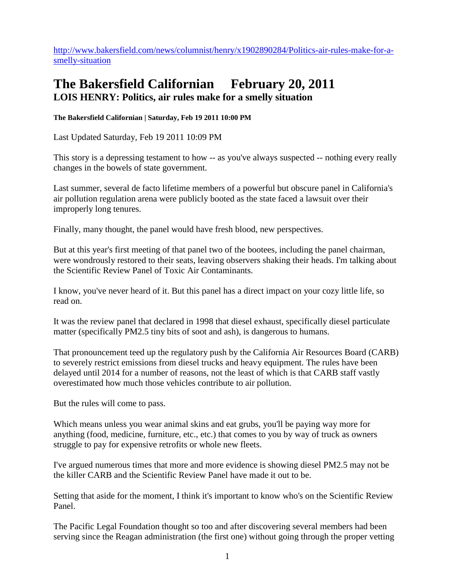[http://www.bakersfield.com/news/columnist/henry/x1902890284/Politics-air-rules-make-for-a](http://www.bakersfield.com/news/columnist/henry/x1902890284/Politics-air-rules-make-for-a-smelly-situation)[smelly-situation](http://www.bakersfield.com/news/columnist/henry/x1902890284/Politics-air-rules-make-for-a-smelly-situation)

## **The Bakersfield Californian February 20, 2011 LOIS HENRY: Politics, air rules make for a smelly situation**

**The Bakersfield Californian | Saturday, Feb 19 2011 10:00 PM** 

Last Updated Saturday, Feb 19 2011 10:09 PM

This story is a depressing testament to how -- as you've always suspected -- nothing every really changes in the bowels of state government.

Last summer, several de facto lifetime members of a powerful but obscure panel in California's air pollution regulation arena were publicly booted as the state faced a lawsuit over their improperly long tenures.

Finally, many thought, the panel would have fresh blood, new perspectives.

But at this year's first meeting of that panel two of the bootees, including the panel chairman, were wondrously restored to their seats, leaving observers shaking their heads. I'm talking about the Scientific Review Panel of Toxic Air Contaminants.

I know, you've never heard of it. But this panel has a direct impact on your cozy little life, so read on.

It was the review panel that declared in 1998 that diesel exhaust, specifically diesel particulate matter (specifically PM2.5 tiny bits of soot and ash), is dangerous to humans.

That pronouncement teed up the regulatory push by the California Air Resources Board (CARB) to severely restrict emissions from diesel trucks and heavy equipment. The rules have been delayed until 2014 for a number of reasons, not the least of which is that CARB staff vastly overestimated how much those vehicles contribute to air pollution.

But the rules will come to pass.

Which means unless you wear animal skins and eat grubs, you'll be paying way more for anything (food, medicine, furniture, etc., etc.) that comes to you by way of truck as owners struggle to pay for expensive retrofits or whole new fleets.

I've argued numerous times that more and more evidence is showing diesel PM2.5 may not be the killer CARB and the Scientific Review Panel have made it out to be.

Setting that aside for the moment, I think it's important to know who's on the Scientific Review Panel.

The Pacific Legal Foundation thought so too and after discovering several members had been serving since the Reagan administration (the first one) without going through the proper vetting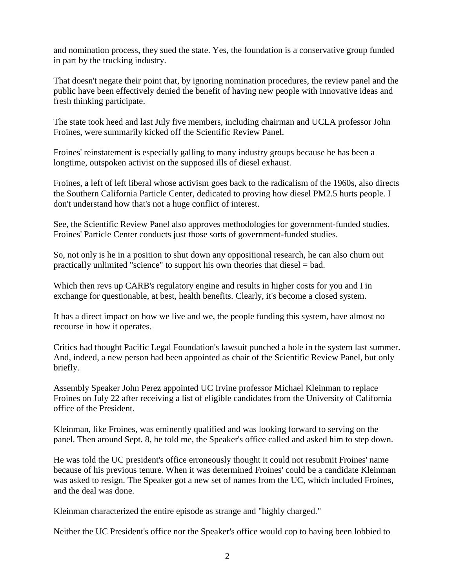and nomination process, they sued the state. Yes, the foundation is a conservative group funded in part by the trucking industry.

That doesn't negate their point that, by ignoring nomination procedures, the review panel and the public have been effectively denied the benefit of having new people with innovative ideas and fresh thinking participate.

The state took heed and last July five members, including chairman and UCLA professor John Froines, were summarily kicked off the Scientific Review Panel.

Froines' reinstatement is especially galling to many industry groups because he has been a longtime, outspoken activist on the supposed ills of diesel exhaust.

Froines, a left of left liberal whose activism goes back to the radicalism of the 1960s, also directs the Southern California Particle Center, dedicated to proving how diesel PM2.5 hurts people. I don't understand how that's not a huge conflict of interest.

See, the Scientific Review Panel also approves methodologies for government-funded studies. Froines' Particle Center conducts just those sorts of government-funded studies.

So, not only is he in a position to shut down any oppositional research, he can also churn out practically unlimited "science" to support his own theories that diesel = bad.

Which then revs up CARB's regulatory engine and results in higher costs for you and I in exchange for questionable, at best, health benefits. Clearly, it's become a closed system.

It has a direct impact on how we live and we, the people funding this system, have almost no recourse in how it operates.

Critics had thought Pacific Legal Foundation's lawsuit punched a hole in the system last summer. And, indeed, a new person had been appointed as chair of the Scientific Review Panel, but only briefly.

Assembly Speaker John Perez appointed UC Irvine professor Michael Kleinman to replace Froines on July 22 after receiving a list of eligible candidates from the University of California office of the President.

Kleinman, like Froines, was eminently qualified and was looking forward to serving on the panel. Then around Sept. 8, he told me, the Speaker's office called and asked him to step down.

He was told the UC president's office erroneously thought it could not resubmit Froines' name because of his previous tenure. When it was determined Froines' could be a candidate Kleinman was asked to resign. The Speaker got a new set of names from the UC, which included Froines, and the deal was done.

Kleinman characterized the entire episode as strange and "highly charged."

Neither the UC President's office nor the Speaker's office would cop to having been lobbied to